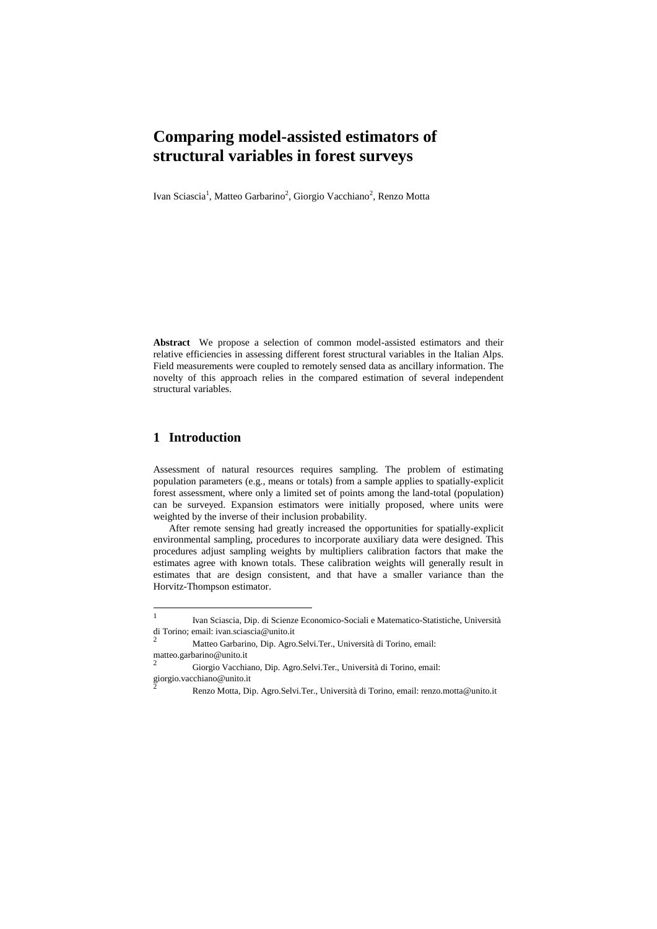# **Comparing model-assisted estimators of structural variables in forest surveys**

Ivan Sciascia<sup>1</sup>, Matteo Garbarino<sup>2</sup>, Giorgio Vacchiano<sup>2</sup>, Renzo Motta

**Abstract** We propose a selection of common model-assisted estimators and their relative efficiencies in assessing different forest structural variables in the Italian Alps. Field measurements were coupled to remotely sensed data as ancillary information. The novelty of this approach relies in the compared estimation of several independent structural variables.

## **1 Introduction**

Assessment of natural resources requires sampling. The problem of estimating population parameters (e.g., means or totals) from a sample applies to spatially-explicit forest assessment, where only a limited set of points among the land-total (population) can be surveyed. Expansion estimators were initially proposed, where units were weighted by the inverse of their inclusion probability.

After remote sensing had greatly increased the opportunities for spatially-explicit environmental sampling, procedures to incorporate auxiliary data were designed. This procedures adjust sampling weights by multipliers calibration factors that make the estimates agree with known totals. These calibration weights will generally result in estimates that are design consistent, and that have a smaller variance than the Horvitz-Thompson estimator.

 $\frac{1}{1}$ Ivan Sciascia, Dip. di Scienze Economico-Sociali e Matematico-Statistiche, Università di Torino; email: ivan.sciascia@unito.it

<sup>2</sup> Matteo Garbarino, Dip. Agro.Selvi.Ter., Università di Torino, email: matteo.garbarino@unito.it 2

Giorgio Vacchiano, Dip. Agro.Selvi.Ter., Università di Torino, email: giorgio.vacchiano@unito.it 2

Renzo Motta, Dip. Agro.Selvi.Ter., Università di Torino, email: renzo.motta@unito.it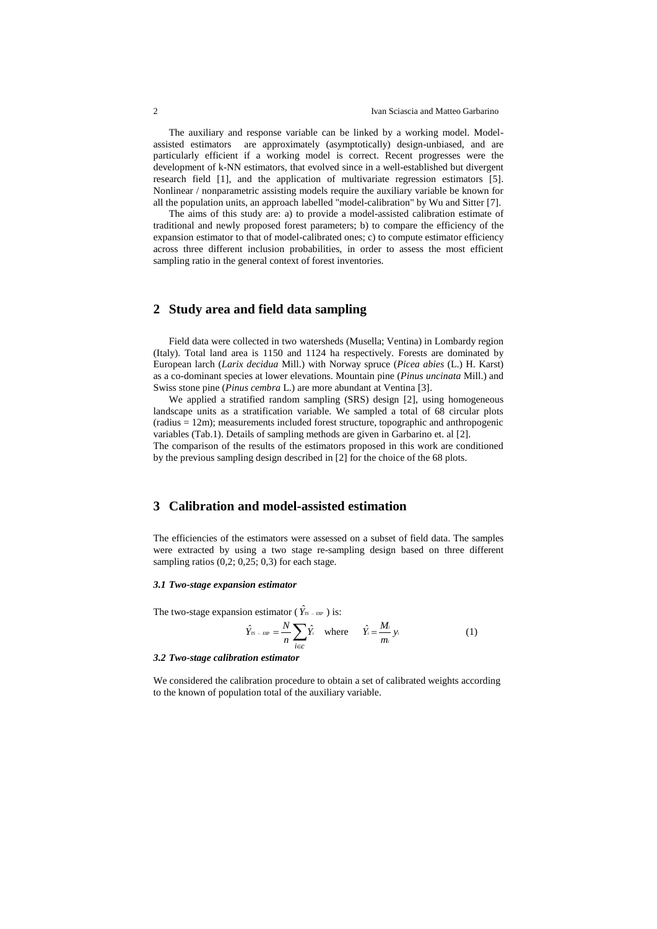The auxiliary and response variable can be linked by a working model. Modelassisted estimators are approximately (asymptotically) design-unbiased, and are particularly efficient if a working model is correct. Recent progresses were the development of k-NN estimators, that evolved since in a well-established but divergent research field [1], and the application of multivariate regression estimators [5]. Nonlinear / nonparametric assisting models require the auxiliary variable be known for all the population units, an approach labelled "model-calibration" by Wu and Sitter [7].

The aims of this study are: a) to provide a model-assisted calibration estimate of traditional and newly proposed forest parameters; b) to compare the efficiency of the expansion estimator to that of model-calibrated ones; c) to compute estimator efficiency across three different inclusion probabilities, in order to assess the most efficient sampling ratio in the general context of forest inventories.

## **2 Study area and field data sampling**

Field data were collected in two watersheds (Musella; Ventina) in Lombardy region (Italy). Total land area is 1150 and 1124 ha respectively. Forests are dominated by European larch (*Larix decidua* Mill.) with Norway spruce (*Picea abies* (L.) H. Karst) as a co-dominant species at lower elevations. Mountain pine (*Pinus uncinata* Mill.) and Swiss stone pine (*Pinus cembra* L.) are more abundant at Ventina [3].

We applied a stratified random sampling (SRS) design [2], using homogeneous landscape units as a stratification variable. We sampled a total of 68 circular plots (radius = 12m); measurements included forest structure, topographic and anthropogenic variables (Tab.1). Details of sampling methods are given in Garbarino et. al [2]. The comparison of the results of the estimators proposed in this work are conditioned by the previous sampling design described in [2] for the choice of the 68 plots.

## **3 Calibration and model-assisted estimation**

The efficiencies of the estimators were assessed on a subset of field data. The samples were extracted by using a two stage re-sampling design based on three different sampling ratios  $(0,2; 0,25; 0,3)$  for each stage.

#### *3.1 Two-stage expansion estimator*

The two-stage expansion estimator ( $\hat{Y}_{TS-EP}$ ) is:

$$
\hat{Y}_{rs - \text{exp}} = \frac{N}{n} \sum_{i \in c} \hat{Y}_i \quad \text{where} \quad \hat{Y}_i = \frac{M_i}{m_i} y_i \tag{1}
$$

#### *3.2 Two-stage calibration estimator*

We considered the calibration procedure to obtain a set of calibrated weights according to the known of population total of the auxiliary variable.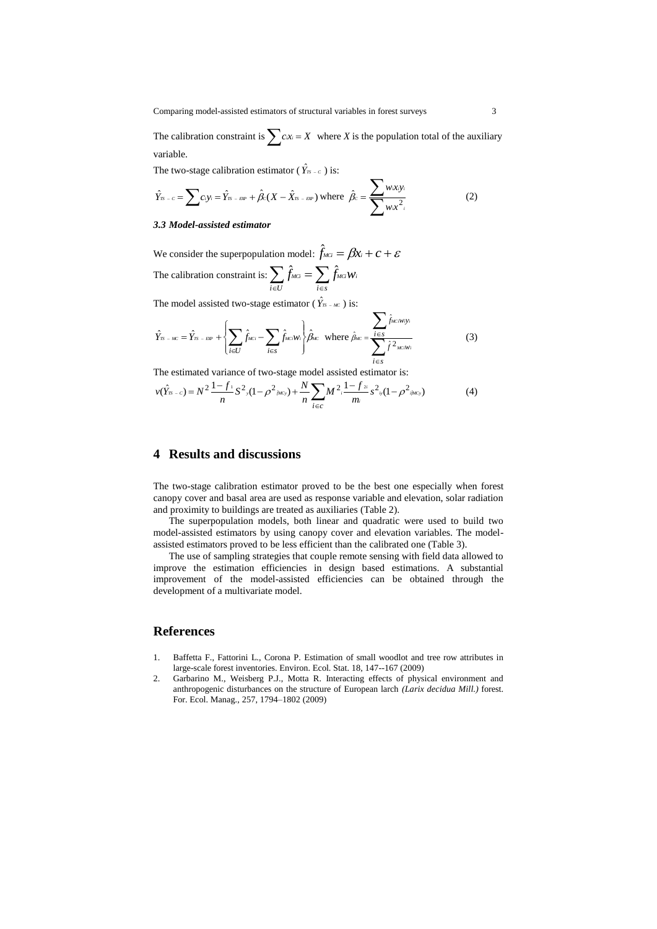The calibration constraint is  $\sum c x_i = X$  where *X* is the population total of the auxiliary variable.

The two-stage calibration estimator ( $\hat{Y}_{7S-c}$ ) is:

$$
\hat{Y}_{\pi-c} = \sum c_i y_i = \hat{Y}_{\pi-cw} + \hat{\beta}_c (X - \hat{X}_{\pi-cw}) \text{ where } \hat{\beta}_c = \frac{\sum w_i xy_i}{\sum w_i x_i^2}
$$
 (2)

### *3.3 Model-assisted estimator*

We consider the superpopulation model:  $\hat{f}_{\text{MG}} = \beta x_i + c + \varepsilon$ The calibration constraint is:  $\sum_{i \in U} \hat{f}_{MCi} = \sum_{i \in S}$  $=$  $i \in U$   $i \in S$  $\hat{f}_{\scriptscriptstyle MGI} = \sum \hat{f}_{\scriptscriptstyle MGI} w_i$ 

The model assisted two-stage estimator ( $\hat{Y}_{\text{TS - MC}}$ ) is:

$$
\hat{Y}_{rs \text{ -} \text{ -}} = \hat{Y}_{rs \text{ -} \text{ -}} + \left\{ \sum_{i \in U} \hat{f}_{\text{ -}} - \sum_{i \in S} \hat{f}_{\text{ -}} \hat{f}_{\text{ -}} \right\} \hat{\beta}_{\text{ -}} \quad \text{where } \hat{\beta}_{\text{ -}} = \frac{\sum_{i \in S} \hat{f}_{\text{ -}} \hat{f}_{\text{ -}} \hat{f}_{\text{ -}} \hat{f}_{\text{ -}} \hat{f}_{\text{ -}}}{\sum_{i \in S} \hat{f}^{2}_{\text{ -}} \hat{f}_{\text{ -}} \hat{f}_{\text{ -}} \quad (3)}
$$

The estimated variance of two-stage model assisted estimator is:

$$
v(\hat{Y}_{rs-c}) = N^2 \frac{1 - f_1}{n} S^2 (1 - \rho^2_{\hat{\rho}^{AC}}) + \frac{N}{n} \sum_{i \in C} M^2 \frac{1 - f_2}{m_i} S^2 (1 - \rho^2_{\hat{\rho}^{AC}})
$$
(4)

## **4 Results and discussions**

The two-stage calibration estimator proved to be the best one especially when forest canopy cover and basal area are used as response variable and elevation, solar radiation and proximity to buildings are treated as auxiliaries (Table 2).

The superpopulation models, both linear and quadratic were used to build two model-assisted estimators by using canopy cover and elevation variables. The modelassisted estimators proved to be less efficient than the calibrated one (Table 3).

The use of sampling strategies that couple remote sensing with field data allowed to improve the estimation efficiencies in design based estimations. A substantial improvement of the model-assisted efficiencies can be obtained through the development of a multivariate model.

## **References**

- 1. Baffetta F., Fattorini L., Corona P. Estimation of small woodlot and tree row attributes in large-scale forest inventories. Environ. Ecol. Stat. 18, 147--167 (2009)
- 2. Garbarino M., Weisberg P.J., Motta R. Interacting effects of physical environment and anthropogenic disturbances on the structure of European larch *(Larix decidua Mill.)* forest. For. Ecol. Manag., 257, 1794–1802 (2009)